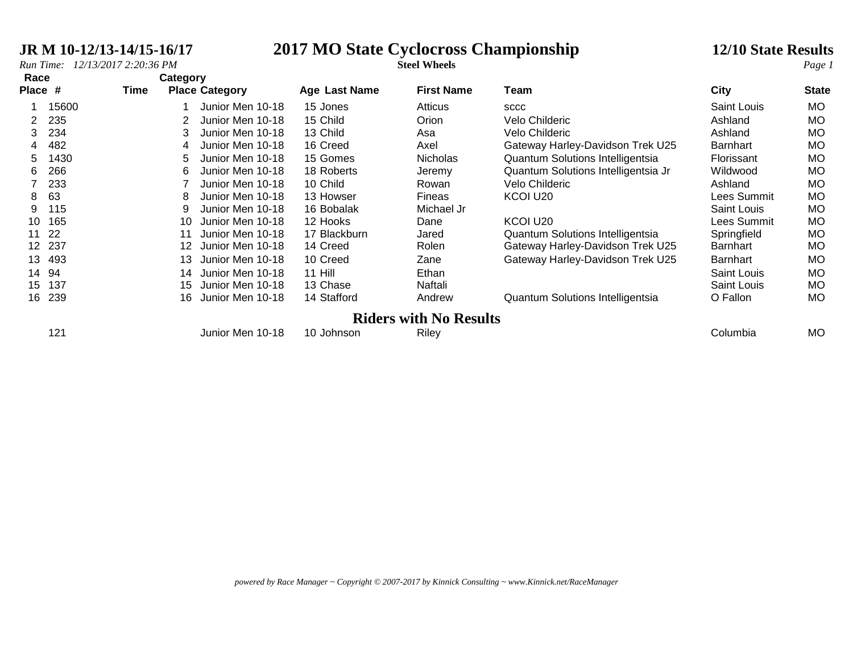# **JR M 10-12/13-14/15-16/17 2017 MO State Cyclocross Championship 12**<br>*Run Time:* 12/13/2017 2:20:36 PM<br>**2017 MO State Cyclocross Championship 12**

|  | <b>2/10 State Results</b> |
|--|---------------------------|
|  |                           |

| Race    |       |      | Category        |                       |               |                               |                                     |                    |              |
|---------|-------|------|-----------------|-----------------------|---------------|-------------------------------|-------------------------------------|--------------------|--------------|
| Place # |       | Time |                 | <b>Place Category</b> | Age Last Name | <b>First Name</b>             | Team                                | <b>City</b>        | <b>State</b> |
|         | 15600 |      |                 | Junior Men 10-18      | 15 Jones      | Atticus                       | <b>SCCC</b>                         | Saint Louis        | <b>MO</b>    |
| 2       | 235   |      |                 | Junior Men 10-18      | 15 Child      | Orion                         | Velo Childeric                      | Ashland            | <b>MO</b>    |
| 3.      | 234   |      | 3               | Junior Men 10-18      | 13 Child      | Asa                           | Velo Childeric                      | Ashland            | <b>MO</b>    |
|         | 482   |      | 4               | Junior Men 10-18      | 16 Creed      | Axel                          | Gateway Harley-Davidson Trek U25    | Barnhart           | <b>MO</b>    |
| 5.      | 1430  |      | 5.              | Junior Men 10-18      | 15 Gomes      | <b>Nicholas</b>               | Quantum Solutions Intelligentsia    | Florissant         | <b>MO</b>    |
| 6       | 266   |      | 6               | Junior Men 10-18      | 18 Roberts    | Jeremy                        | Quantum Solutions Intelligentsia Jr | Wildwood           | <b>MO</b>    |
|         | 233   |      |                 | Junior Men 10-18      | 10 Child      | Rowan                         | Velo Childeric                      | Ashland            | <b>MO</b>    |
| 8       | 63    |      | 8               | Junior Men 10-18      | 13 Howser     | <b>Fineas</b>                 | KCOI U <sub>20</sub>                | Lees Summit        | <b>MO</b>    |
| 9       | 115   |      | 9               | Junior Men 10-18      | 16 Bobalak    | Michael Jr                    |                                     | Saint Louis        | <b>MO</b>    |
| 10      | 165   |      | 10              | Junior Men 10-18      | 12 Hooks      | Dane                          | KCOI U <sub>20</sub>                | Lees Summit        | <b>MO</b>    |
| 11      | 22    |      | 11              | Junior Men 10-18      | 17 Blackburn  | Jared                         | Quantum Solutions Intelligentsia    | Springfield        | <b>MO</b>    |
| 12      | 237   |      | 12 <sup>°</sup> | Junior Men 10-18      | 14 Creed      | Rolen                         | Gateway Harley-Davidson Trek U25    | Barnhart           | <b>MO</b>    |
| 13      | 493   |      | 13              | Junior Men 10-18      | 10 Creed      | Zane                          | Gateway Harley-Davidson Trek U25    | Barnhart           | <b>MO</b>    |
| 14      | 94    |      | 14              | Junior Men 10-18      | 11 Hill       | Ethan                         |                                     | Saint Louis        | <b>MO</b>    |
| 15      | 137   |      | 15              | Junior Men 10-18      | 13 Chase      | Naftali                       |                                     | <b>Saint Louis</b> | <b>MO</b>    |
| 16      | 239   |      | 16              | Junior Men 10-18      | 14 Stafford   | Andrew                        | Quantum Solutions Intelligentsia    | O Fallon           | <b>MO</b>    |
|         |       |      |                 |                       |               | <b>Riders with No Results</b> |                                     |                    |              |
|         | 121   |      |                 | Junior Men 10-18      | 10 Johnson    | Riley                         |                                     | Columbia           | <b>MO</b>    |
|         |       |      |                 |                       |               |                               |                                     |                    |              |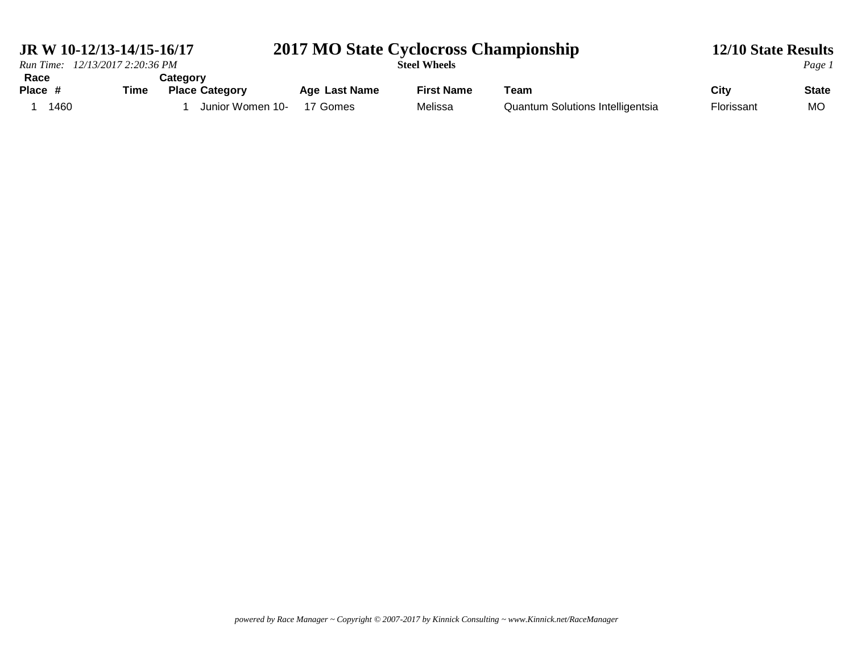| JR W 10-12/13-14/15-16/17       |                                                       | 2017 MO State Cyclocross Championship |                              |                                                 |                    | <b>12/10 State Results</b> |
|---------------------------------|-------------------------------------------------------|---------------------------------------|------------------------------|-------------------------------------------------|--------------------|----------------------------|
| Run Time: 12/13/2017 2:20:36 PM |                                                       |                                       | <b>Steel Wheels</b>          |                                                 |                    | Page 1                     |
| Race<br>Time<br>Place #<br>1460 | Categorv<br><b>Place Category</b><br>Junior Women 10- | <b>Age Last Name</b><br>17 Gomes      | <b>First Name</b><br>Melissa | Геаm<br><b>Quantum Solutions Intelligentsia</b> | City<br>Florissant | <b>State</b><br>MC         |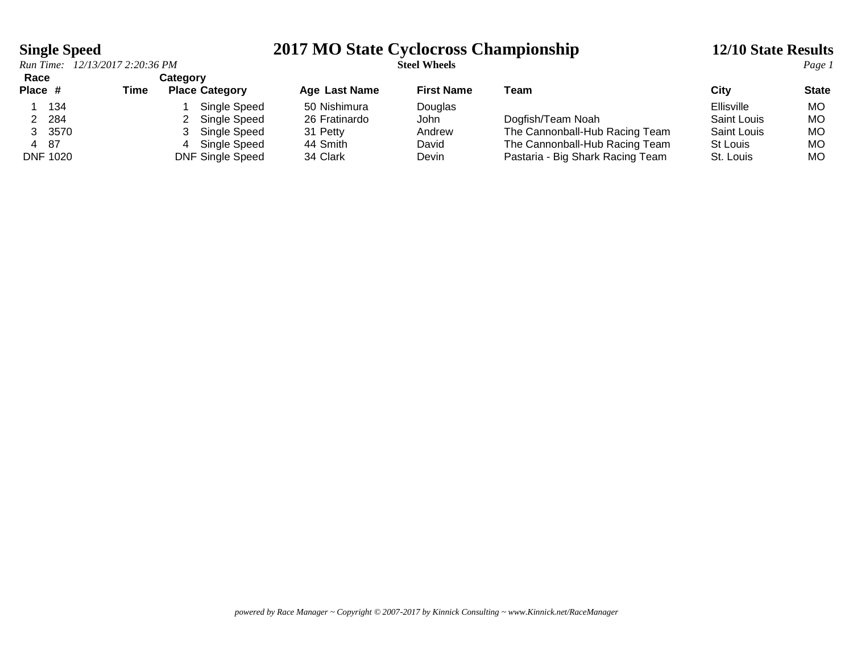### **Single Speed 2017 MO State Cyclocross Championship 12/10 State Results**

| Race            |        |      | <b>Category</b> |                         |                      |                   |                                  |                    |              |
|-----------------|--------|------|-----------------|-------------------------|----------------------|-------------------|----------------------------------|--------------------|--------------|
| Place #         |        | Time |                 | <b>Place Category</b>   | <b>Age Last Name</b> | <b>First Name</b> | Team                             | City               | <b>State</b> |
|                 | 134    |      |                 | Single Speed            | 50 Nishimura         | Douglas           |                                  | Ellisville         | MO.          |
|                 | 284    |      |                 | Single Speed            | 26 Fratinardo        | John              | Dogfish/Team Noah                | <b>Saint Louis</b> | МO           |
|                 | 3 3570 |      |                 | Single Speed            | 31 Petty             | Andrew            | The Cannonball-Hub Racing Team   | <b>Saint Louis</b> | МO           |
| 4 87            |        |      | 4               | Single Speed            | 44 Smith             | David             | The Cannonball-Hub Racing Team   | St Louis           | МO           |
| <b>DNF 1020</b> |        |      |                 | <b>DNF Single Speed</b> | 34 Clark             | Devin             | Pastaria - Big Shark Racing Team | St. Louis          | MO           |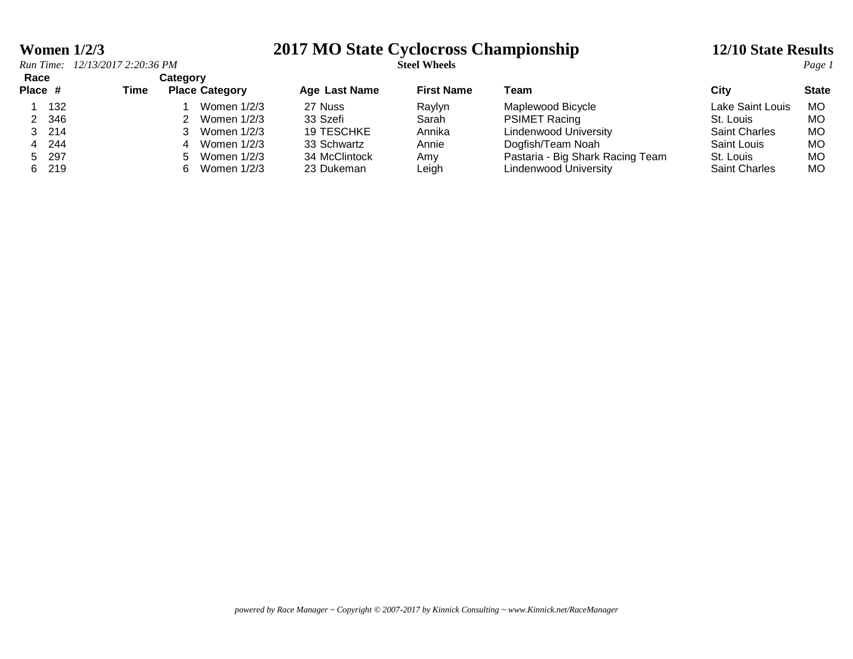### **Women 1/2/3 2017 MO State Cyclocross Championship 12/10 State Results**

| Race    |       |      | <b>Category</b>              |                      |                   |                                  |                      |              |
|---------|-------|------|------------------------------|----------------------|-------------------|----------------------------------|----------------------|--------------|
| Place # |       | Time | <b>Place Category</b>        | <b>Age Last Name</b> | <b>First Name</b> | Team                             | Citv                 | <b>State</b> |
|         | 132   |      | Women 1/2/3                  | 27 Nuss              | Raylyn            | Maplewood Bicycle                | Lake Saint Louis     | MO.          |
|         | 2 346 |      | Women 1/2/3                  | 33 Szefi             | Sarah             | <b>PSIMET Racing</b>             | St. Louis            | MO.          |
|         | 3 214 |      | Women 1/2/3                  | 19 TESCHKE           | Annika            | Lindenwood University            | <b>Saint Charles</b> | MO           |
|         | 4 244 |      | Women $1/2/3$<br>4           | 33 Schwartz          | Annie             | Dogfish/Team Noah                | Saint Louis          | MO           |
|         | 5 297 |      | Women 1/2/3<br>$\mathcal{L}$ | 34 McClintock        | Amv               | Pastaria - Big Shark Racing Team | St. Louis            | MO.          |
|         | 6 219 |      | Women 1/2/3<br>6.            | 23 Dukeman           | ∟eigh             | Lindenwood University            | <b>Saint Charles</b> | <b>MO</b>    |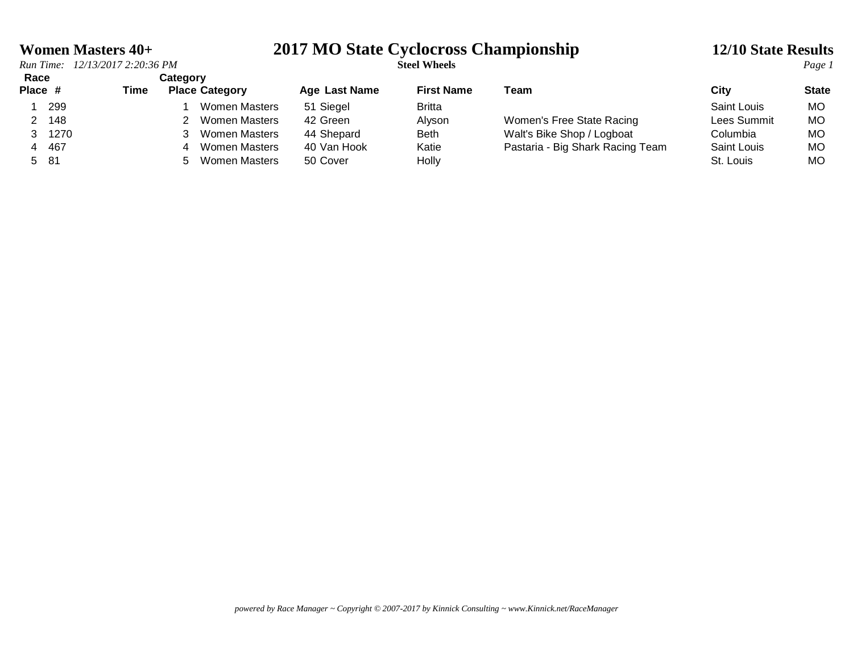# **Women Masters 40+**<br> *Run Time:* 12/13/2017 2:20:36 PM<br> **2017 MO State Cyclocross Championship 12/10 State Results**<br> *Page 1*

| Race    |       |      | Categorv              |               |                   |                                  |             |              |
|---------|-------|------|-----------------------|---------------|-------------------|----------------------------------|-------------|--------------|
| Place # |       | Time | <b>Place Category</b> | Age Last Name | <b>First Name</b> | Team                             | City        | <b>State</b> |
|         | 299   |      | Women Masters         | 51 Siegel     | Britta            |                                  | Saint Louis | MO.          |
|         | 148   |      | Women Masters         | 42 Green      | Alyson            | Women's Free State Racing        | Lees Summit | МO           |
|         | 1270  |      | Women Masters         | 44 Shepard    | <b>Beth</b>       | Walt's Bike Shop / Logboat       | Columbia    | МO           |
|         | 4 467 |      | Women Masters<br>Δ    | 40 Van Hook   | Katie             | Pastaria - Big Shark Racing Team | Saint Louis | МO           |
| 5 81    |       |      | Women Masters         | 50 Cover      | Holly             |                                  | St. Louis   | <b>MO</b>    |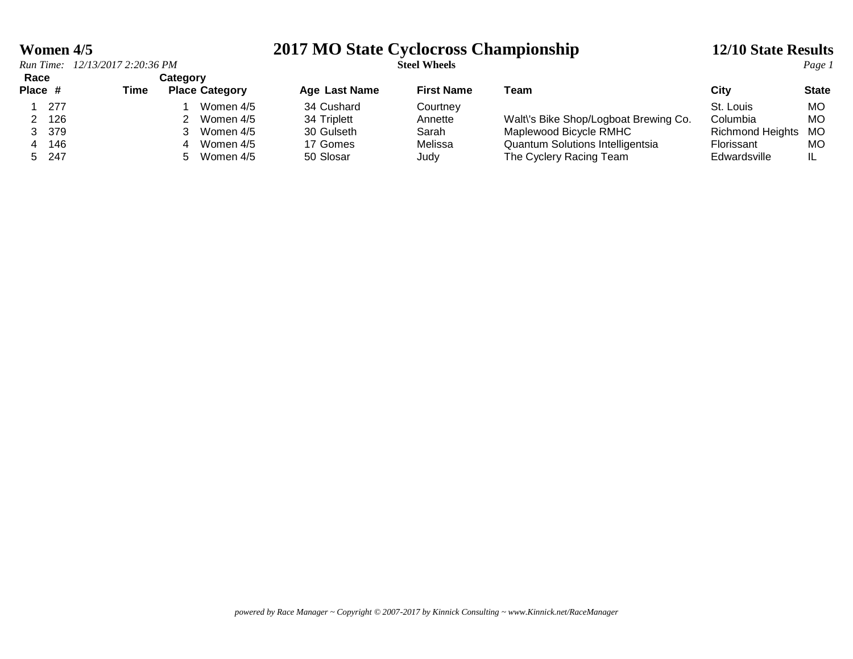### **Women 4/5 2017 MO State Cyclocross Championship 12/10 State Results**

| Race |         |      | Category              |               |                   |                                       |                         |              |
|------|---------|------|-----------------------|---------------|-------------------|---------------------------------------|-------------------------|--------------|
|      | Place # | Time | <b>Place Category</b> | Age Last Name | <b>First Name</b> | Team                                  | Citv                    | <b>State</b> |
|      | 277     |      | Women 4/5             | 34 Cushard    | Courtnev          |                                       | St. Louis               | МO           |
|      | 126     |      | Women 4/5             | 34 Triplett   | Annette           | Walt\'s Bike Shop/Logboat Brewing Co. | Columbia                | МO           |
|      | 379     |      | Women 4/5             | 30 Gulseth    | Sarah             | Maplewood Bicycle RMHC                | <b>Richmond Heights</b> | MO           |
|      | 146     |      | Women 4/5<br>4        | 17 Gomes      | Melissa           | Quantum Solutions Intelligentsia      | Florissant              | МO           |
|      | 5 247   |      | Women 4/5<br>$\sim$   | 50 Slosar     | Judy              | The Cyclery Racing Team               | Edwardsville            | IL           |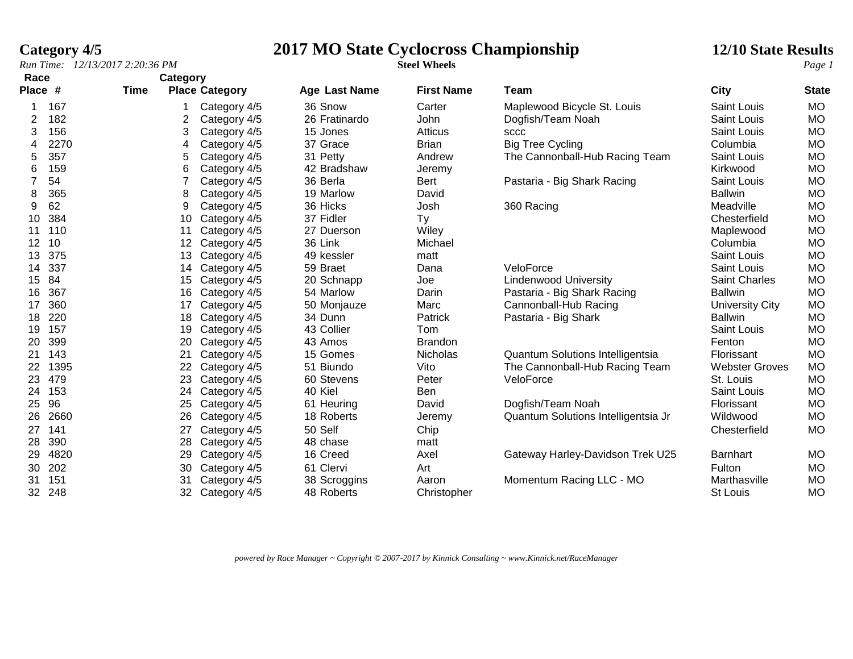### **Category 4/5 2017 MO State Cyclocross Championship 12**

|  | <b>2/10 State Results</b> |  |
|--|---------------------------|--|
|  |                           |  |

| Race              |      |      | Category          |                       |                      |                   |                                     |                       |              |
|-------------------|------|------|-------------------|-----------------------|----------------------|-------------------|-------------------------------------|-----------------------|--------------|
| Place #           |      | Time |                   | <b>Place Category</b> | <b>Age Last Name</b> | <b>First Name</b> | Team                                | <b>City</b>           | <b>State</b> |
|                   | 167  |      |                   | Category 4/5          | 36 Snow              | Carter            | Maplewood Bicycle St. Louis         | Saint Louis           | <b>MO</b>    |
| 2                 | 182  |      | 2                 | Category 4/5          | 26 Fratinardo        | John              | Dogfish/Team Noah                   | <b>Saint Louis</b>    | <b>MO</b>    |
| 3                 | 156  |      | 3                 | Category 4/5          | 15 Jones             | <b>Atticus</b>    | <b>SCCC</b>                         | <b>Saint Louis</b>    | <b>MO</b>    |
| 4                 | 2270 |      | 4                 | Category 4/5          | 37 Grace             | <b>Brian</b>      | <b>Big Tree Cycling</b>             | Columbia              | <b>MO</b>    |
| 5                 | 357  |      | 5                 | Category 4/5          | 31 Petty             | Andrew            | The Cannonball-Hub Racing Team      | <b>Saint Louis</b>    | <b>MO</b>    |
| 6                 | 159  |      | 6                 | Category 4/5          | 42 Bradshaw          | Jeremy            |                                     | Kirkwood              | <b>MO</b>    |
| $\overline{7}$    | 54   |      |                   | Category 4/5          | 36 Berla             | <b>Bert</b>       | Pastaria - Big Shark Racing         | <b>Saint Louis</b>    | <b>MO</b>    |
| 8                 | 365  |      | 8                 | Category 4/5          | 19 Marlow            | David             |                                     | <b>Ballwin</b>        | <b>MO</b>    |
| 9                 | 62   |      | 9                 | Category 4/5          | 36 Hicks             | Josh              | 360 Racing                          | Meadville             | <b>MO</b>    |
| 10                | 384  |      | 10                | Category 4/5          | 37 Fidler            | Ty                |                                     | Chesterfield          | <b>MO</b>    |
| 11                | 110  |      | 11                | Category 4/5          | 27 Duerson           | Wiley             |                                     | Maplewood             | <b>MO</b>    |
| $12 \overline{ }$ | 10   |      | $12 \overline{ }$ | Category 4/5          | 36 Link              | Michael           |                                     | Columbia              | <b>MO</b>    |
| 13                | 375  |      | 13                | Category 4/5          | 49 kessler           | matt              |                                     | Saint Louis           | <b>MO</b>    |
| 14                | 337  |      | 14                | Category 4/5          | 59 Braet             | Dana              | VeloForce                           | Saint Louis           | <b>MO</b>    |
| 15                | 84   |      | 15                | Category 4/5          | 20 Schnapp           | Joe               | <b>Lindenwood University</b>        | Saint Charles         | <b>MO</b>    |
| 16                | 367  |      | 16                | Category 4/5          | 54 Marlow            | Darin             | Pastaria - Big Shark Racing         | <b>Ballwin</b>        | <b>MO</b>    |
| 17                | 360  |      | 17                | Category 4/5          | 50 Monjauze          | Marc              | Cannonball-Hub Racing               | University City       | <b>MO</b>    |
| 18                | 220  |      | 18                | Category 4/5          | 34 Dunn              | Patrick           | Pastaria - Big Shark                | <b>Ballwin</b>        | <b>MO</b>    |
| 19                | 157  |      | 19                | Category 4/5          | 43 Collier           | Tom               |                                     | <b>Saint Louis</b>    | <b>MO</b>    |
| 20                | 399  |      | 20                | Category 4/5          | 43 Amos              | <b>Brandon</b>    |                                     | Fenton                | <b>MO</b>    |
| 21                | 143  |      | 21                | Category 4/5          | 15 Gomes             | <b>Nicholas</b>   | Quantum Solutions Intelligentsia    | Florissant            | <b>MO</b>    |
| 22                | 1395 |      | 22                | Category 4/5          | 51 Biundo            | Vito              | The Cannonball-Hub Racing Team      | <b>Webster Groves</b> | <b>MO</b>    |
| 23                | 479  |      | 23                | Category 4/5          | 60 Stevens           | Peter             | VeloForce                           | St. Louis             | <b>MO</b>    |
| 24                | 153  |      | 24                | Category 4/5          | 40 Kiel              | Ben               |                                     | Saint Louis           | <b>MO</b>    |
| 25                | 96   |      | 25                | Category 4/5          | 61 Heuring           | David             | Dogfish/Team Noah                   | Florissant            | <b>MO</b>    |
| 26                | 2660 |      | 26                | Category 4/5          | 18 Roberts           | Jeremy            | Quantum Solutions Intelligentsia Jr | Wildwood              | <b>MO</b>    |
| 27                | 141  |      | 27                | Category 4/5          | 50 Self              | Chip              |                                     | Chesterfield          | <b>MO</b>    |
| 28                | 390  |      | 28                | Category 4/5          | 48 chase             | matt              |                                     |                       |              |
| 29                | 4820 |      | 29                | Category 4/5          | 16 Creed             | Axel              | Gateway Harley-Davidson Trek U25    | <b>Barnhart</b>       | <b>MO</b>    |
| 30                | 202  |      | 30                | Category 4/5          | 61 Clervi            | Art               |                                     | Fulton                | <b>MO</b>    |
| 31                | 151  |      | 31                | Category 4/5          | 38 Scroggins         | Aaron             | Momentum Racing LLC - MO            | Marthasville          | <b>MO</b>    |
| 32                | 248  |      | 32                | Category 4/5          | 48 Roberts           | Christopher       |                                     | St Louis              | <b>MO</b>    |

*powered by Race Manager ~ Copyright © 2007-2017 by Kinnick Consulting ~ www.Kinnick.net/RaceManager*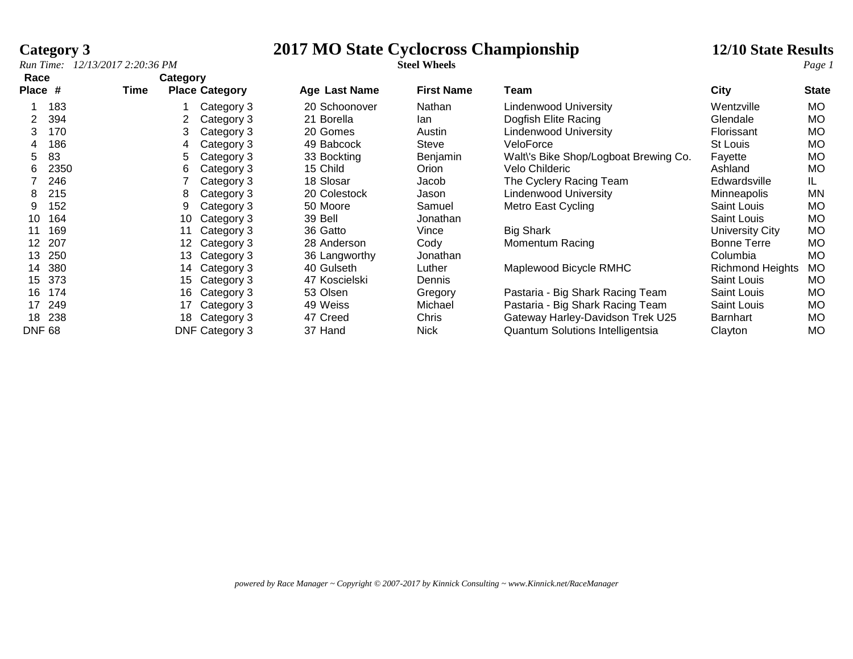**Race Category**

# **Category 3**<br> **2017 MO State Cyclocross Championship** 12/10 State Results<br> **2017 MO State Cyclocross Championship** 12/10 State Results<br> *Page 1*

| .<br>Place #  |      | Time | <b>Parago</b> ry | <b>Place Category</b> | Age Last Name | <b>First Name</b> | Team                                    | <b>City</b>             | <b>State</b> |
|---------------|------|------|------------------|-----------------------|---------------|-------------------|-----------------------------------------|-------------------------|--------------|
|               |      |      |                  |                       |               |                   |                                         |                         |              |
|               | 183  |      |                  | Category 3            | 20 Schoonover | Nathan            | Lindenwood University                   | Wentzville              | <b>MO</b>    |
|               | 394  |      |                  | Category 3            | 21 Borella    | lan               | Dogfish Elite Racing                    | Glendale                | <b>MO</b>    |
| 3.            | 170  |      | 3.               | Category 3            | 20 Gomes      | Austin            | <b>Lindenwood University</b>            | Florissant              | <b>MO</b>    |
| 4             | 186  |      | 4                | Category 3            | 49 Babcock    | Steve             | VeloForce                               | St Louis                | <b>MO</b>    |
| 5.            | 83   |      | 5.               | Category 3            | 33 Bockting   | Benjamin          | Walt's Bike Shop/Logboat Brewing Co.    | Fayette                 | <b>MO</b>    |
| 6.            | 2350 |      | 6                | Category 3            | 15 Child      | Orion             | Velo Childeric                          | Ashland                 | <b>MO</b>    |
|               | 246  |      |                  | Category 3            | 18 Slosar     | Jacob             | The Cyclery Racing Team                 | Edwardsville            | IL.          |
| 8             | 215  |      | 8                | Category 3            | 20 Colestock  | Jason             | <b>Lindenwood University</b>            | Minneapolis             | ΜN           |
| 9             | 152  |      | 9                | Category 3            | 50 Moore      | Samuel            | Metro East Cycling                      | Saint Louis             | <b>MO</b>    |
| 10            | 164  |      | 10               | Category 3            | 39 Bell       | Jonathan          |                                         | <b>Saint Louis</b>      | <b>MO</b>    |
| 11            | 169  |      | 11               | Category 3            | 36 Gatto      | Vince             | <b>Big Shark</b>                        | University City         | <b>MO</b>    |
| 12            | 207  |      | 12               | Category 3            | 28 Anderson   | Cody              | Momentum Racing                         | <b>Bonne Terre</b>      | <b>MO</b>    |
| 13            | 250  |      | 13               | Category 3            | 36 Langworthy | Jonathan          |                                         | Columbia                | <b>MO</b>    |
| 14            | 380  |      | 14.              | Category 3            | 40 Gulseth    | Luther            | Maplewood Bicycle RMHC                  | <b>Richmond Heights</b> | <b>MO</b>    |
| 15            | 373  |      | 15               | Category 3            | 47 Koscielski | Dennis            |                                         | Saint Louis             | <b>MO</b>    |
| 16.           | 174  |      | 16               | Category 3            | 53 Olsen      | Gregory           | Pastaria - Big Shark Racing Team        | Saint Louis             | <b>MO</b>    |
| 17            | 249  |      | 17               | Category 3            | 49 Weiss      | Michael           | Pastaria - Big Shark Racing Team        | Saint Louis             | <b>MO</b>    |
| 18            | 238  |      | 18.              | Category 3            | 47 Creed      | Chris             | Gateway Harley-Davidson Trek U25        | Barnhart                | <b>MO</b>    |
| <b>DNF 68</b> |      |      |                  | DNF Category 3        | 37 Hand       | <b>Nick</b>       | <b>Quantum Solutions Intelligentsia</b> | Clayton                 | <b>MO</b>    |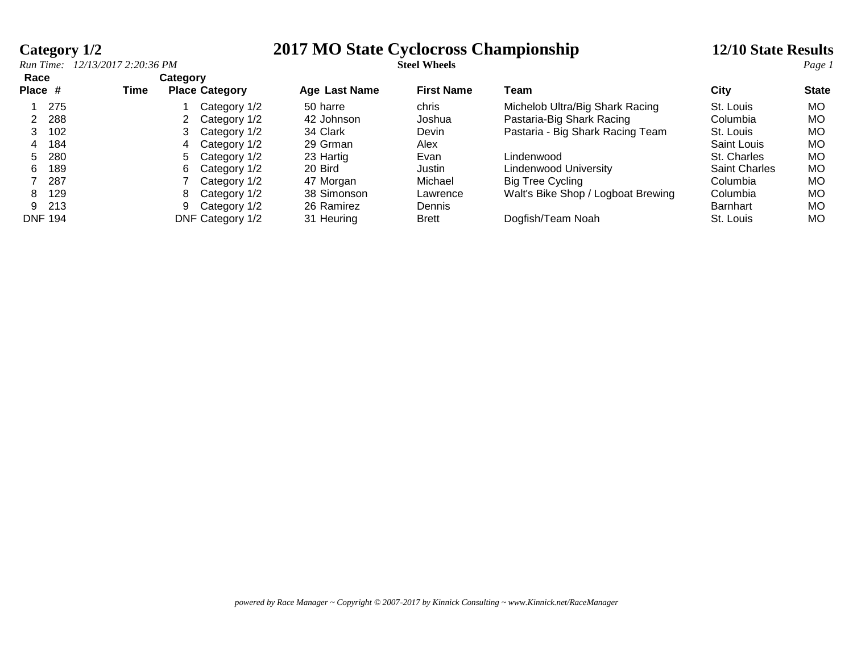## **Category 1/2 2017 MO State Cyclocross Championship 12/10 State Results**

|                 |       | Run Time: 12/13/2017 2:20:36 PM |          |                       |                      | <b>Steel Wheels</b> |                                    |                      | Page 1       |
|-----------------|-------|---------------------------------|----------|-----------------------|----------------------|---------------------|------------------------------------|----------------------|--------------|
| Race<br>Place # |       | Time                            | Category | <b>Place Category</b> | <b>Age Last Name</b> | <b>First Name</b>   | Team                               | City                 | <b>State</b> |
|                 | 275   |                                 |          | Category 1/2          | 50 harre             | chris               | Michelob Ultra/Big Shark Racing    | St. Louis            | MO.          |
|                 | 288   |                                 |          | Category 1/2          | 42 Johnson           | Joshua              | Pastaria-Big Shark Racing          | Columbia             | MO.          |
|                 | 102   |                                 |          | Category 1/2          | 34 Clark             | Devin               | Pastaria - Big Shark Racing Team   | St. Louis            | MO           |
|                 | 4 184 |                                 |          | Category 1/2          | 29 Grman             | Alex                |                                    | Saint Louis          | MO.          |
|                 | 5 280 |                                 | 5.       | Category 1/2          | 23 Hartig            | Evan                | Lindenwood                         | St. Charles          | MO           |
| 6.              | 189   |                                 | 6.       | Category 1/2          | 20 Bird              | Justin              | Lindenwood University              | <b>Saint Charles</b> | MO.          |
|                 | 287   |                                 |          | Category 1/2          | 47 Morgan            | Michael             | Big Tree Cycling                   | Columbia             | МO           |
| 8               | 129   |                                 | 8        | Category 1/2          | 38 Simonson          | Lawrence            | Walt's Bike Shop / Logboat Brewing | Columbia             | MO           |
| 9.              | - 213 |                                 |          | Category 1/2          | 26 Ramirez           | <b>Dennis</b>       |                                    | <b>Barnhart</b>      | MO           |
| <b>DNF 194</b>  |       |                                 |          | DNF Category 1/2      | 31 Heuring           | <b>Brett</b>        | Dogfish/Team Noah                  | St. Louis            | MO.          |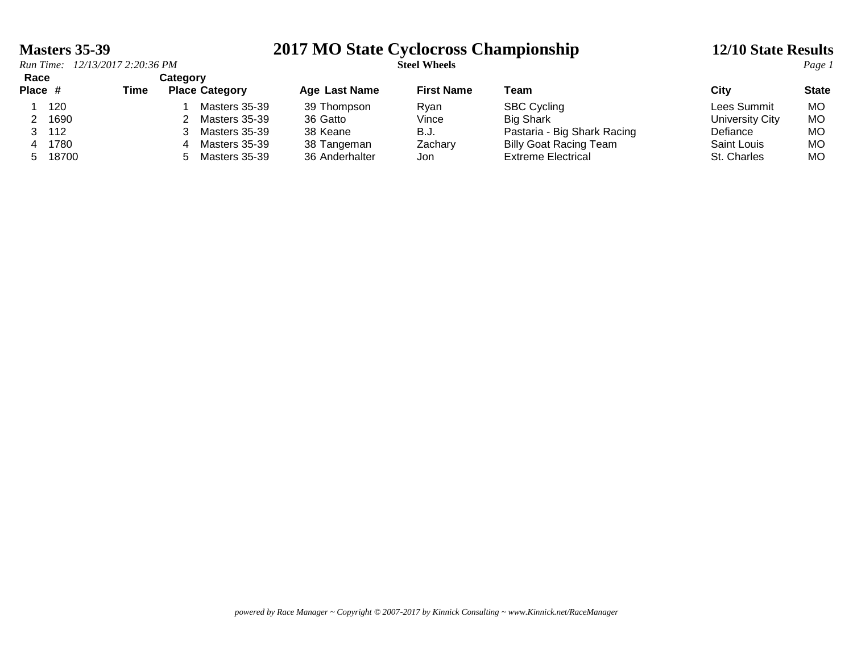### **Masters 35-39 2017 MO State Cyclocross Championship 12/10 State Results**

| Race    |       |      | Categorv              |                      |                   |                               |                    |              |
|---------|-------|------|-----------------------|----------------------|-------------------|-------------------------------|--------------------|--------------|
| Place # |       | Time | <b>Place Category</b> | <b>Age Last Name</b> | <b>First Name</b> | Team                          | City               | <b>State</b> |
|         | 120   |      | Masters 35-39         | 39 Thompson          | Rvan              | <b>SBC Cycling</b>            | Lees Summit        | MO.          |
|         | 1690  |      | Masters 35-39         | 36 Gatto             | Vince             | <b>Big Shark</b>              | University City    | МO           |
|         | 112   |      | Masters 35-39         | 38 Keane             | B.J.              | Pastaria - Big Shark Racing   | Defiance           | МO           |
| 4       | 1780  |      | Masters 35-39<br>4    | 38 Tangeman          | Zachary           | <b>Billy Goat Racing Team</b> | <b>Saint Louis</b> | МO           |
| 5.      | 18700 |      | Masters 35-39         | 36 Anderhalter       | Jon               | Extreme Electrical            | St. Charles        | MO           |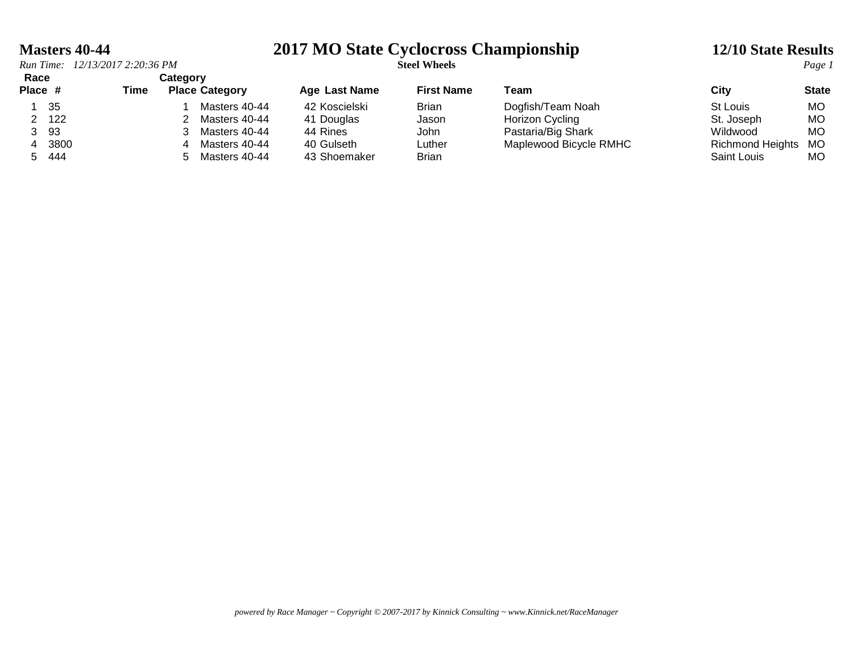### **Masters 40-44 2017 MO State Cyclocross Championship 12/10 State Results**

| Race    |      | Category |   |                       |                      |                   |                        |                         |              |
|---------|------|----------|---|-----------------------|----------------------|-------------------|------------------------|-------------------------|--------------|
| Place # |      | Time     |   | <b>Place Category</b> | <b>Age Last Name</b> | <b>First Name</b> | Team                   | City                    | <b>State</b> |
|         | 35   |          |   | Masters 40-44         | 42 Koscielski        | <b>Brian</b>      | Dogfish/Team Noah      | St Louis                | MO.          |
|         | 122  |          |   | Masters 40-44         | 41 Douglas           | Jason             | Horizon Cycling        | St. Joseph              | МO           |
| 3 93    |      |          |   | Masters 40-44         | 44 Rines             | John              | Pastaria/Big Shark     | Wildwood                | МO           |
| 4       | 3800 |          | 4 | Masters 40-44         | 40 Gulseth           | Luther            | Maplewood Bicycle RMHC | <b>Richmond Heights</b> | MO           |
| 5       | 444  |          |   | Masters 40-44         | 43 Shoemaker         | <b>Brian</b>      |                        | Saint Louis             | МO           |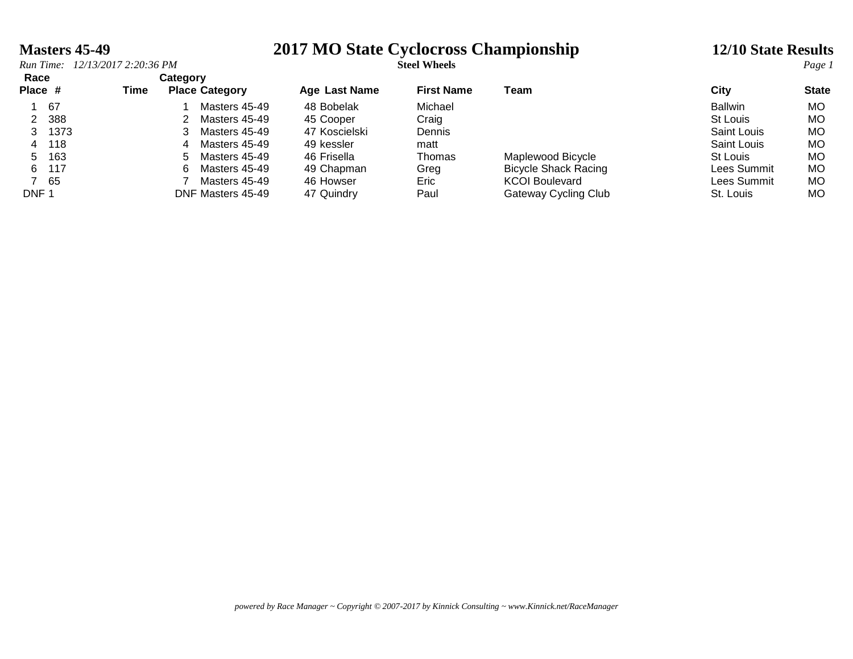### **Masters 45-49 2017 MO State Cyclocross Championship 12/10 State Results**

### *Run Time: 12/13/2017 2:20:36 PM* **Steel Wheels** *Page 1* **Race Category Place # Time Place Category Age Last Name First Name Team City State** 1 67 1 Masters 45-49 48 Bobelak Michael Ballwin MO 2 388 2 Masters 45-49 45 Cooper Craig St Louis MO 3 1373 3 Masters 45-49 47 Koscielski Dennis Saint Louis MO 4 118 4 Masters 45-49 49 kessler matt Saint Louis MO 5 163 5 Masters 45-49 46 Frisella Thomas Maplewood Bicycle St Louis MO 6 117 6 Masters 45-49 49 Chapman Greg Bicycle Shack Racing Lees Summit MO 7 65 7 Masters 45-49 46 Howser Eric KCOI Boulevard Lees Summit MO DNF 1 DNF Masters 45-49 47 Quindry Paul Gateway Cycling Club St. Louis MO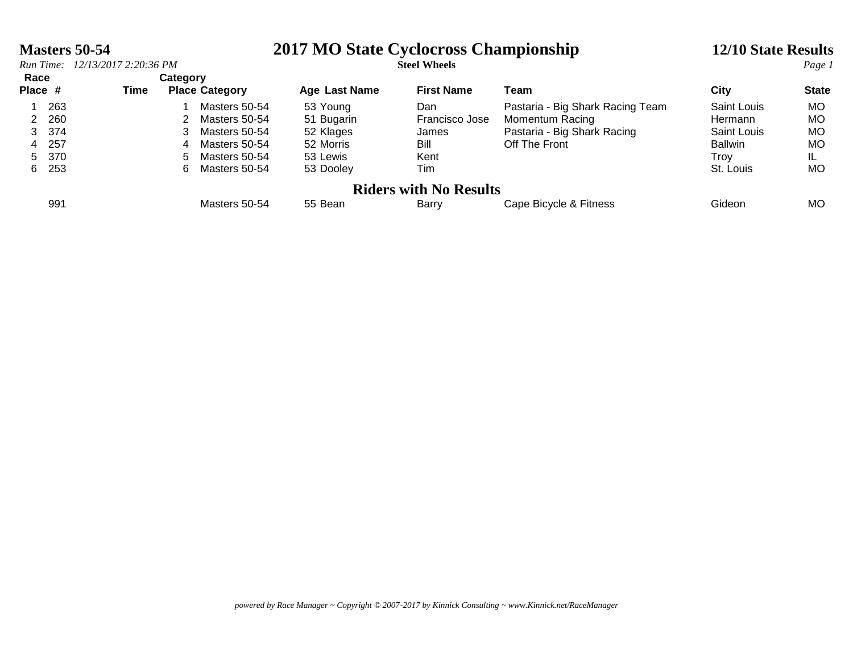|                 | Masters 50-54<br>Run Time: 12/13/2017 2:20:36 PM |  |      |                   |                                                                                                    | 2017 MO State Cyclocross Championship                                     | 12/10 State Results<br>Page 1                         |                                                                                                     |                                                                              |                                        |
|-----------------|--------------------------------------------------|--|------|-------------------|----------------------------------------------------------------------------------------------------|---------------------------------------------------------------------------|-------------------------------------------------------|-----------------------------------------------------------------------------------------------------|------------------------------------------------------------------------------|----------------------------------------|
| Race<br>Place # |                                                  |  | Time | Category          | <b>Place Category</b>                                                                              | Age Last Name                                                             | <b>First Name</b>                                     | Team                                                                                                | City                                                                         | <b>State</b>                           |
| 4               | 263<br>2 260<br>3 374<br>257<br>5 370<br>6 253   |  |      | 3<br>4<br>5.<br>6 | Masters 50-54<br>Masters 50-54<br>Masters 50-54<br>Masters 50-54<br>Masters 50-54<br>Masters 50-54 | 53 Young<br>51 Bugarin<br>52 Klages<br>52 Morris<br>53 Lewis<br>53 Dooley | Dan<br>Francisco Jose<br>James<br>Bill<br>Kent<br>Tim | Pastaria - Big Shark Racing Team<br>Momentum Racing<br>Pastaria - Big Shark Racing<br>Off The Front | Saint Louis<br>Hermann<br>Saint Louis<br><b>Ballwin</b><br>Trov<br>St. Louis | MO.<br>MO.<br>MO.<br>MO.<br>IL.<br>MO. |
|                 | 991                                              |  |      |                   | Masters 50-54                                                                                      | 55 Bean                                                                   | <b>Riders with No Results</b><br>Barry                | Cape Bicycle & Fitness                                                                              | Gideon                                                                       | MO.                                    |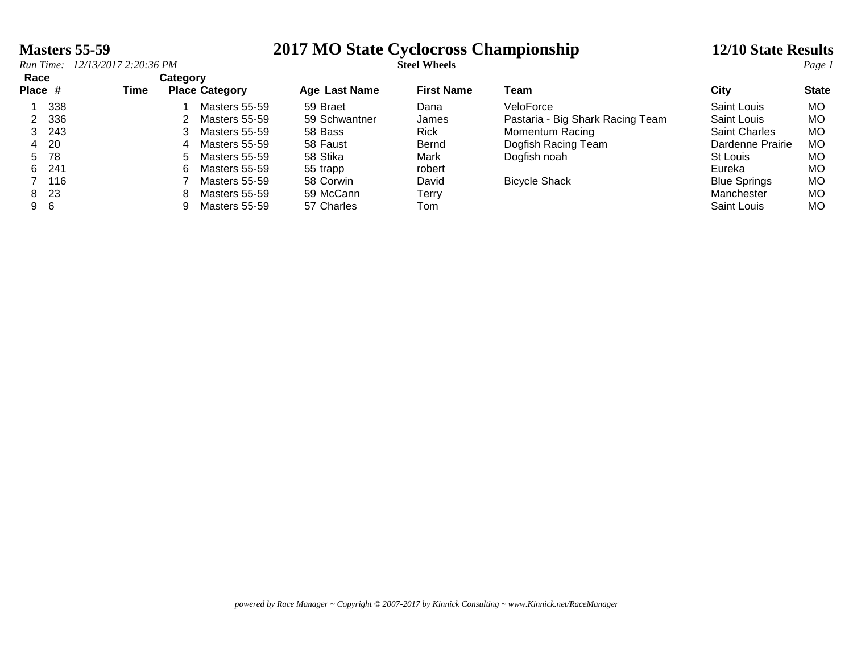### **Masters 55-59 2017 MO State Cyclocross Championship 12/10 State Results**

|                 | Run Time: 12/13/2017 2:20:36 PM |                                           |    |               | <b>Steel Wheels</b>  |                   |                                  |                      |              |  |
|-----------------|---------------------------------|-------------------------------------------|----|---------------|----------------------|-------------------|----------------------------------|----------------------|--------------|--|
| Race<br>Place # |                                 | Category<br><b>Place Category</b><br>Time |    |               | <b>Age Last Name</b> | <b>First Name</b> | Team                             | City                 | <b>State</b> |  |
|                 | 338                             |                                           |    | Masters 55-59 | 59 Braet             | Dana              | VeloForce                        | Saint Louis          | MO.          |  |
| 2               | 336                             |                                           |    | Masters 55-59 | 59 Schwantner        | James             | Pastaria - Big Shark Racing Team | Saint Louis          | MO.          |  |
|                 | 3 243                           |                                           |    | Masters 55-59 | 58 Bass              | <b>Rick</b>       | Momentum Racing                  | <b>Saint Charles</b> | MO.          |  |
|                 | 4 20                            |                                           |    | Masters 55-59 | 58 Faust             | Bernd             | Dogfish Racing Team              | Dardenne Prairie     | MO.          |  |
|                 | 5 78                            |                                           | 5. | Masters 55-59 | 58 Stika             | Mark              | Dogfish noah                     | St Louis             | MO.          |  |
|                 | 6 241                           |                                           | 6. | Masters 55-59 | 55 trapp             | robert            |                                  | Eureka               | MO.          |  |
|                 | 7 116                           |                                           |    | Masters 55-59 | 58 Corwin            | David             | <b>Bicycle Shack</b>             | <b>Blue Springs</b>  | MO.          |  |
|                 | 8 23                            |                                           | 8. | Masters 55-59 | 59 McCann            | Terry             |                                  | Manchester           | MO.          |  |
|                 | 9 6                             |                                           |    | Masters 55-59 | 57 Charles           | Tom               |                                  | Saint Louis          | MO.          |  |
|                 |                                 |                                           |    |               |                      |                   |                                  |                      |              |  |